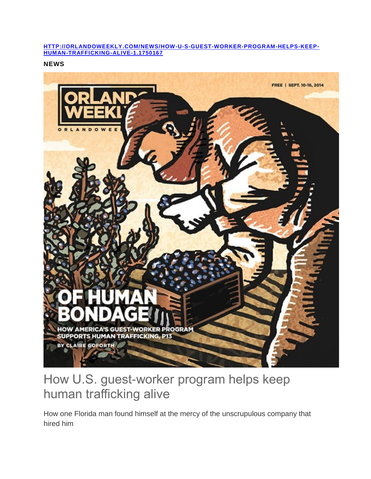## **[HTTP://ORLANDOWEEKLY.COM/NEWS/HOW-U-S-GUEST-WORKER-PROGRAM-HELPS-KEEP-](http://orlandoweekly.com/news/how-u-s-guest-worker-program-helps-keep-human-trafficking-alive-1.1750167)[HUMAN-TRAFFICKING-ALIVE-1.1750167](http://orlandoweekly.com/news/how-u-s-guest-worker-program-helps-keep-human-trafficking-alive-1.1750167)**

**NEWS**



## How U.S. guest-worker program helps keep human trafficking alive

How one Florida man found himself at the mercy of the unscrupulous company that hired him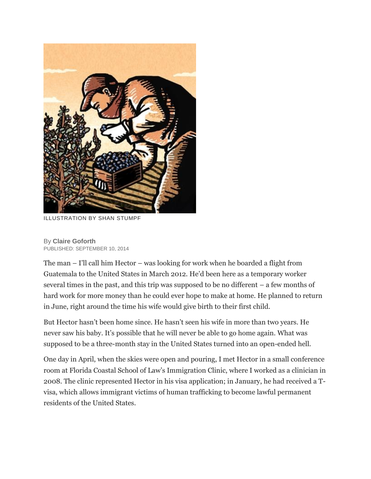

ILLUSTRATION BY SHAN STUMPF

By **[Claire Goforth](http://orlandoweekly.com/archives/authors?author=Claire%20Goforth)** PUBLISHED: SEPTEMBER 10, 2014

The man – I'll call him Hector – was looking for work when he boarded a flight from Guatemala to the United States in March 2012. He'd been here as a temporary worker several times in the past, and this trip was supposed to be no different – a few months of hard work for more money than he could ever hope to make at home. He planned to return in June, right around the time his wife would give birth to their first child.

But Hector hasn't been home since. He hasn't seen his wife in more than two years. He never saw his baby. It's possible that he will never be able to go home again. What was supposed to be a three-month stay in the United States turned into an open-ended hell.

One day in April, when the skies were open and pouring, I met Hector in a small conference room at Florida Coastal School of Law's Immigration Clinic, where I worked as a clinician in 2008. The clinic represented Hector in his visa application; in January, he had received a Tvisa, which allows immigrant victims of human trafficking to become lawful permanent residents of the United States.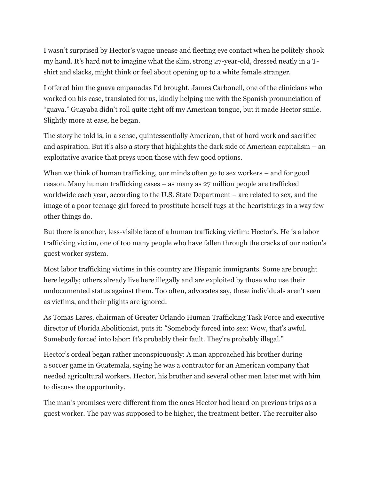I wasn't surprised by Hector's vague unease and fleeting eye contact when he politely shook my hand. It's hard not to imagine what the slim, strong 27-year-old, dressed neatly in a Tshirt and slacks, might think or feel about opening up to a white female stranger.

I offered him the guava empanadas I'd brought. James Carbonell, one of the clinicians who worked on his case, translated for us, kindly helping me with the Spanish pronunciation of "guava." Guayaba didn't roll quite right off my American tongue, but it made Hector smile. Slightly more at ease, he began.

The story he told is, in a sense, quintessentially American, that of hard work and sacrifice and aspiration. But it's also a story that highlights the dark side of American capitalism – an exploitative avarice that preys upon those with few good options.

When we think of human trafficking, our minds often go to sex workers – and for good reason. Many human trafficking cases – as many as 27 million people are trafficked worldwide each year, according to the U.S. State Department – are related to sex, and the image of a poor teenage girl forced to prostitute herself tugs at the heartstrings in a way few other things do.

But there is another, less-visible face of a human trafficking victim: Hector's. He is a labor trafficking victim, one of too many people who have fallen through the cracks of our nation's guest worker system.

Most labor trafficking victims in this country are Hispanic immigrants. Some are brought here legally; others already live here illegally and are exploited by those who use their undocumented status against them. Too often, advocates say, these individuals aren't seen as victims, and their plights are ignored.

As Tomas Lares, chairman of Greater Orlando Human Trafficking Task Force and executive director of Florida Abolitionist, puts it: "Somebody forced into sex: Wow, that's awful. Somebody forced into labor: It's probably their fault. They're probably illegal."

Hector's ordeal began rather inconspicuously: A man approached his brother during a soccer game in Guatemala, saying he was a contractor for an American company that needed agricultural workers. Hector, his brother and several other men later met with him to discuss the opportunity.

The man's promises were different from the ones Hector had heard on previous trips as a guest worker. The pay was supposed to be higher, the treatment better. The recruiter also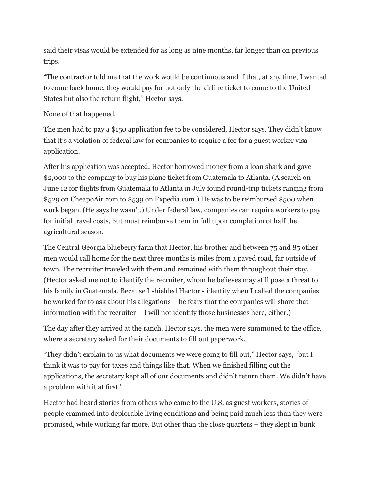said their visas would be extended for as long as nine months, far longer than on previous trips.

"The contractor told me that the work would be continuous and if that, at any time, I wanted to come back home, they would pay for not only the airline ticket to come to the United States but also the return flight," Hector says.

None of that happened.

The men had to pay a \$150 application fee to be considered, Hector says. They didn't know that it's a violation of federal law for companies to require a fee for a guest worker visa application.

After his application was accepted, Hector borrowed money from a loan shark and gave \$2,000 to the company to buy his plane ticket from Guatemala to Atlanta. (A search on June 12 for flights from Guatemala to Atlanta in July found round-trip tickets ranging from \$529 on CheapoAir.com to \$539 on Expedia.com.) He was to be reimbursed \$500 when work began. (He says he wasn't.) Under federal law, companies can require workers to pay for initial travel costs, but must reimburse them in full upon completion of half the agricultural season.

The Central Georgia blueberry farm that Hector, his brother and between 75 and 85 other men would call home for the next three months is miles from a paved road, far outside of town. The recruiter traveled with them and remained with them throughout their stay. (Hector asked me not to identify the recruiter, whom he believes may still pose a threat to his family in Guatemala. Because I shielded Hector's identity when I called the companies he worked for to ask about his allegations – he fears that the companies will share that information with the recruiter – I will not identify those businesses here, either.)

The day after they arrived at the ranch, Hector says, the men were summoned to the office, where a secretary asked for their documents to fill out paperwork.

"They didn't explain to us what documents we were going to fill out," Hector says, "but I think it was to pay for taxes and things like that. When we finished filling out the applications, the secretary kept all of our documents and didn't return them. We didn't have a problem with it at first."

Hector had heard stories from others who came to the U.S. as guest workers, stories of people crammed into deplorable living conditions and being paid much less than they were promised, while working far more. But other than the close quarters – they slept in bunk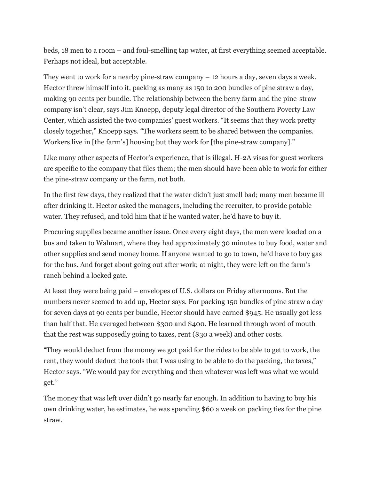beds, 18 men to a room – and foul-smelling tap water, at first everything seemed acceptable. Perhaps not ideal, but acceptable.

They went to work for a nearby pine-straw company – 12 hours a day, seven days a week. Hector threw himself into it, packing as many as 150 to 200 bundles of pine straw a day, making 90 cents per bundle. The relationship between the berry farm and the pine-straw company isn't clear, says Jim Knoepp, deputy legal director of the Southern Poverty Law Center, which assisted the two companies' guest workers. "It seems that they work pretty closely together," Knoepp says. "The workers seem to be shared between the companies. Workers live in [the farm's] housing but they work for [the pine-straw company]."

Like many other aspects of Hector's experience, that is illegal. H-2A visas for guest workers are specific to the company that files them; the men should have been able to work for either the pine-straw company or the farm, not both.

In the first few days, they realized that the water didn't just smell bad; many men became ill after drinking it. Hector asked the managers, including the recruiter, to provide potable water. They refused, and told him that if he wanted water, he'd have to buy it.

Procuring supplies became another issue. Once every eight days, the men were loaded on a bus and taken to Walmart, where they had approximately 30 minutes to buy food, water and other supplies and send money home. If anyone wanted to go to town, he'd have to buy gas for the bus. And forget about going out after work; at night, they were left on the farm's ranch behind a locked gate.

At least they were being paid – envelopes of U.S. dollars on Friday afternoons. But the numbers never seemed to add up, Hector says. For packing 150 bundles of pine straw a day for seven days at 90 cents per bundle, Hector should have earned \$945. He usually got less than half that. He averaged between \$300 and \$400. He learned through word of mouth that the rest was supposedly going to taxes, rent (\$30 a week) and other costs.

"They would deduct from the money we got paid for the rides to be able to get to work, the rent, they would deduct the tools that I was using to be able to do the packing, the taxes," Hector says. "We would pay for everything and then whatever was left was what we would get."

The money that was left over didn't go nearly far enough. In addition to having to buy his own drinking water, he estimates, he was spending \$60 a week on packing ties for the pine straw.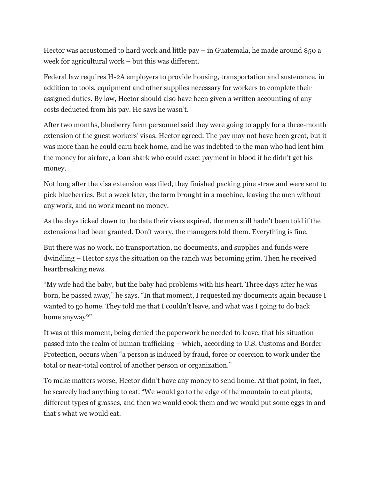Hector was accustomed to hard work and little pay – in Guatemala, he made around \$50 a week for agricultural work – but this was different.

Federal law requires H-2A employers to provide housing, transportation and sustenance, in addition to tools, equipment and other supplies necessary for workers to complete their assigned duties. By law, Hector should also have been given a written accounting of any costs deducted from his pay. He says he wasn't.

After two months, blueberry farm personnel said they were going to apply for a three-month extension of the guest workers' visas. Hector agreed. The pay may not have been great, but it was more than he could earn back home, and he was indebted to the man who had lent him the money for airfare, a loan shark who could exact payment in blood if he didn't get his money.

Not long after the visa extension was filed, they finished packing pine straw and were sent to pick blueberries. But a week later, the farm brought in a machine, leaving the men without any work, and no work meant no money.

As the days ticked down to the date their visas expired, the men still hadn't been told if the extensions had been granted. Don't worry, the managers told them. Everything is fine.

But there was no work, no transportation, no documents, and supplies and funds were dwindling – Hector says the situation on the ranch was becoming grim. Then he received heartbreaking news.

"My wife had the baby, but the baby had problems with his heart. Three days after he was born, he passed away," he says. "In that moment, I requested my documents again because I wanted to go home. They told me that I couldn't leave, and what was I going to do back home anyway?"

It was at this moment, being denied the paperwork he needed to leave, that his situation passed into the realm of human trafficking – which, according to U.S. Customs and Border Protection, occurs when "a person is induced by fraud, force or coercion to work under the total or near-total control of another person or organization."

To make matters worse, Hector didn't have any money to send home. At that point, in fact, he scarcely had anything to eat. "We would go to the edge of the mountain to cut plants, different types of grasses, and then we would cook them and we would put some eggs in and that's what we would eat.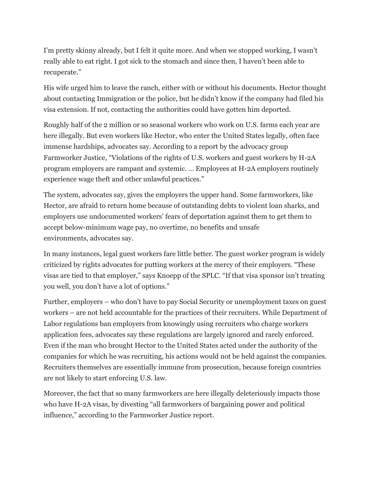I'm pretty skinny already, but I felt it quite more. And when we stopped working, I wasn't really able to eat right. I got sick to the stomach and since then, I haven't been able to recuperate."

His wife urged him to leave the ranch, either with or without his documents. Hector thought about contacting Immigration or the police, but he didn't know if the company had filed his visa extension. If not, contacting the authorities could have gotten him deported.

Roughly half of the 2 million or so seasonal workers who work on U.S. farms each year are here illegally. But even workers like Hector, who enter the United States legally, often face immense hardships, advocates say. According to a report by the advocacy group Farmworker Justice, "Violations of the rights of U.S. workers and guest workers by H-2A program employers are rampant and systemic. … Employees at H-2A employers routinely experience wage theft and other unlawful practices."

The system, advocates say, gives the employers the upper hand. Some farmworkers, like Hector, are afraid to return home because of outstanding debts to violent loan sharks, and employers use undocumented workers' fears of deportation against them to get them to accept below-minimum wage pay, no overtime, no benefits and unsafe environments, advocates say.

In many instances, legal guest workers fare little better. The guest worker program is widely criticized by rights advocates for putting workers at the mercy of their employers. "These visas are tied to that employer," says Knoepp of the SPLC. "If that visa sponsor isn't treating you well, you don't have a lot of options."

Further, employers – who don't have to pay Social Security or unemployment taxes on guest workers – are not held accountable for the practices of their recruiters. While Department of Labor regulations ban employers from knowingly using recruiters who charge workers application fees, advocates say these regulations are largely ignored and rarely enforced. Even if the man who brought Hector to the United States acted under the authority of the companies for which he was recruiting, his actions would not be held against the companies. Recruiters themselves are essentially immune from prosecution, because foreign countries are not likely to start enforcing U.S. law.

Moreover, the fact that so many farmworkers are here illegally deleteriously impacts those who have H-2A visas, by divesting "all farmworkers of bargaining power and political influence," according to the Farmworker Justice report.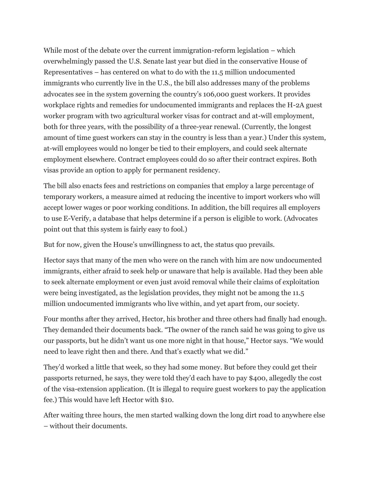While most of the debate over the current immigration-reform legislation – which overwhelmingly passed the U.S. Senate last year but died in the conservative House of Representatives – has centered on what to do with the 11.5 million undocumented immigrants who currently live in the U.S., the bill also addresses many of the problems advocates see in the system governing the country's 106,000 guest workers. It provides workplace rights and remedies for undocumented immigrants and replaces the H-2A guest worker program with two agricultural worker visas for contract and at-will employment, both for three years, with the possibility of a three-year renewal. (Currently, the longest amount of time guest workers can stay in the country is less than a year.) Under this system, at-will employees would no longer be tied to their employers, and could seek alternate employment elsewhere. Contract employees could do so after their contract expires. Both visas provide an option to apply for permanent residency.

The bill also enacts fees and restrictions on companies that employ a large percentage of temporary workers, a measure aimed at reducing the incentive to import workers who will accept lower wages or poor working conditions. In addition, the bill requires all employers to use E-Verify, a database that helps determine if a person is eligible to work. (Advocates point out that this system is fairly easy to fool.)

But for now, given the House's unwillingness to act, the status quo prevails.

Hector says that many of the men who were on the ranch with him are now undocumented immigrants, either afraid to seek help or unaware that help is available. Had they been able to seek alternate employment or even just avoid removal while their claims of exploitation were being investigated, as the legislation provides, they might not be among the 11.5 million undocumented immigrants who live within, and yet apart from, our society.

Four months after they arrived, Hector, his brother and three others had finally had enough. They demanded their documents back. "The owner of the ranch said he was going to give us our passports, but he didn't want us one more night in that house," Hector says. "We would need to leave right then and there. And that's exactly what we did."

They'd worked a little that week, so they had some money. But before they could get their passports returned, he says, they were told they'd each have to pay \$400, allegedly the cost of the visa-extension application. (It is illegal to require guest workers to pay the application fee.) This would have left Hector with \$10.

After waiting three hours, the men started walking down the long dirt road to anywhere else – without their documents.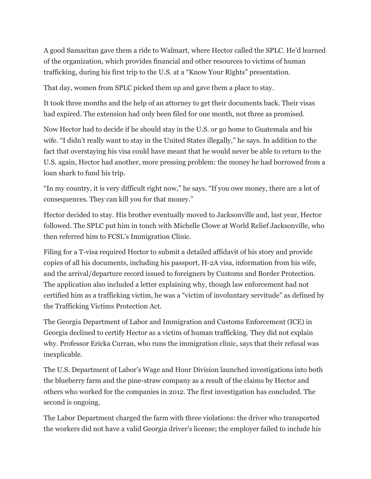A good Samaritan gave them a ride to Walmart, where Hector called the SPLC. He'd learned of the organization, which provides financial and other resources to victims of human trafficking, during his first trip to the U.S. at a "Know Your Rights" presentation.

That day, women from SPLC picked them up and gave them a place to stay.

It took three months and the help of an attorney to get their documents back. Their visas had expired. The extension had only been filed for one month, not three as promised.

Now Hector had to decide if he should stay in the U.S. or go home to Guatemala and his wife. "I didn't really want to stay in the United States illegally," he says. In addition to the fact that overstaying his visa could have meant that he would never be able to return to the U.S. again, Hector had another, more pressing problem: the money he had borrowed from a loan shark to fund his trip.

"In my country, it is very difficult right now," he says. "If you owe money, there are a lot of consequences. They can kill you for that money."

Hector decided to stay. His brother eventually moved to Jacksonville and, last year, Hector followed. The SPLC put him in touch with Michelle Clowe at World Relief Jacksonville, who then referred him to FCSL's Immigration Clinic.

Filing for a T-visa required Hector to submit a detailed affidavit of his story and provide copies of all his documents, including his passport, H-2A visa, information from his wife, and the arrival/departure record issued to foreigners by Customs and Border Protection. The application also included a letter explaining why, though law enforcement had not certified him as a trafficking victim, he was a "victim of involuntary servitude" as defined by the Trafficking Victims Protection Act.

The Georgia Department of Labor and Immigration and Customs Enforcement (ICE) in Georgia declined to certify Hector as a victim of human trafficking. They did not explain why. Professor Ericka Curran, who runs the immigration clinic, says that their refusal was inexplicable.

The U.S. Department of Labor's Wage and Hour Division launched investigations into both the blueberry farm and the pine-straw company as a result of the claims by Hector and others who worked for the companies in 2012. The first investigation has concluded. The second is ongoing.

The Labor Department charged the farm with three violations: the driver who transported the workers did not have a valid Georgia driver's license; the employer failed to include his